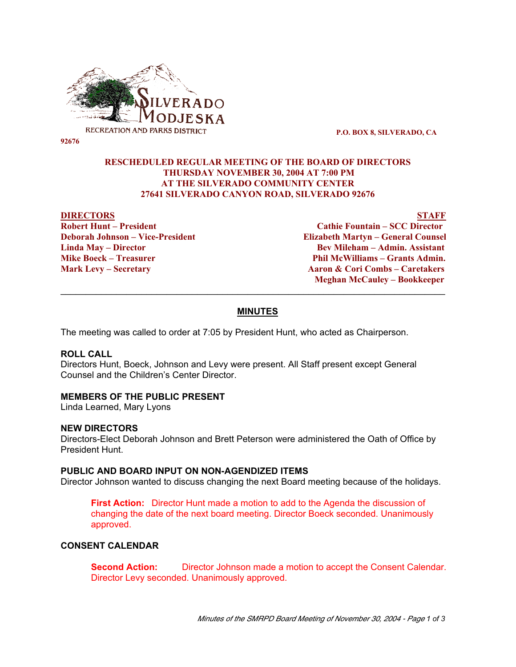

 **P.O. BOX 8, SILVERADO, CA**

## **RESCHEDULED REGULAR MEETING OF THE BOARD OF DIRECTORS THURSDAY NOVEMBER 30, 2004 AT 7:00 PM AT THE SILVERADO COMMUNITY CENTER 27641 SILVERADO CANYON ROAD, SILVERADO 92676**

#### **DIRECTORS STAFF**

**Robert Hunt – President Cathie Fountain – SCC Director Deborah Johnson – Vice-President Elizabeth Martyn – General Counsel Linda May – Director Bev Mileham – Admin. Assistant** Phil McWilliams – Grants Admin. **Mark Levy – Secretary Aaron & Cori Combs – Caretakers Meghan McCauley – Bookkeeper**

#### **MINUTES**

\_\_\_\_\_\_\_\_\_\_\_\_\_\_\_\_\_\_\_\_\_\_\_\_\_\_\_\_\_\_\_\_\_\_\_\_\_\_\_\_\_\_\_\_\_\_\_\_\_\_\_\_\_\_\_\_\_\_\_\_\_\_\_\_\_\_\_\_\_\_\_\_\_\_\_\_

The meeting was called to order at 7:05 by President Hunt, who acted as Chairperson.

#### **ROLL CALL**

Directors Hunt, Boeck, Johnson and Levy were present. All Staff present except General Counsel and the Children's Center Director.

#### **MEMBERS OF THE PUBLIC PRESENT**

Linda Learned, Mary Lyons

#### **NEW DIRECTORS**

Directors-Elect Deborah Johnson and Brett Peterson were administered the Oath of Office by President Hunt.

#### **PUBLIC AND BOARD INPUT ON NON-AGENDIZED ITEMS**

Director Johnson wanted to discuss changing the next Board meeting because of the holidays.

**First Action:** Director Hunt made a motion to add to the Agenda the discussion of changing the date of the next board meeting. Director Boeck seconded. Unanimously approved.

### **CONSENT CALENDAR**

**Second Action:** Director Johnson made a motion to accept the Consent Calendar. Director Levy seconded. Unanimously approved.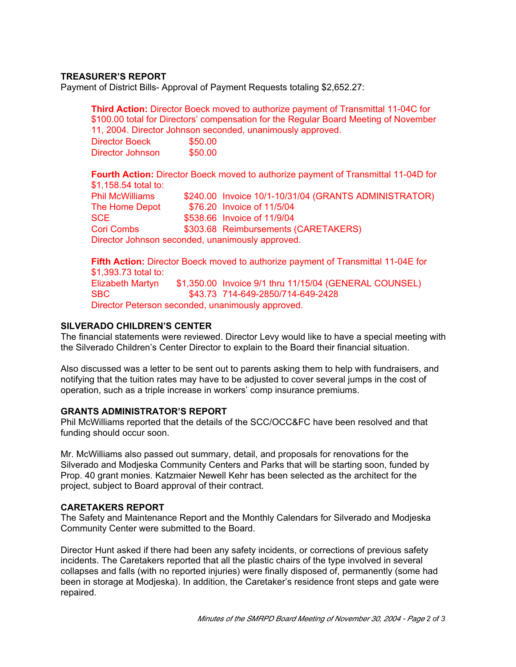# **TREASURER'S REPORT**

Payment of District Bills- Approval of Payment Requests totaling \$2,652.27:

**Third Action:** Director Boeck moved to authorize payment of Transmittal 11-04C for \$100.00 total for Directors' compensation for the Regular Board Meeting of November 11, 2004. Director Johnson seconded, unanimously approved. Director Boeck \$50.00 Director Johnson \$50.00

**Fourth Action:** Director Boeck moved to authorize payment of Transmittal 11-04D for \$1,158.54 total to: Phil McWilliams \$240.00 Invoice 10/1-10/31/04 (GRANTS ADMINISTRATOR) The Home Depot \$76.20 Invoice of 11/5/04 SCE \$538.66 Invoice of 11/9/04 Cori Combs \$303.68 Reimbursements (CARETAKERS) Director Johnson seconded, unanimously approved.

**Fifth Action:** Director Boeck moved to authorize payment of Transmittal 11-04E for \$1,393.73 total to: Elizabeth Martyn \$1,350.00 Invoice 9/1 thru 11/15/04 (GENERAL COUNSEL) SBC \$43.73 714-649-2850/714-649-2428 Director Peterson seconded, unanimously approved.

# **SILVERADO CHILDREN'S CENTER**

The financial statements were reviewed. Director Levy would like to have a special meeting with the Silverado Children's Center Director to explain to the Board their financial situation.

Also discussed was a letter to be sent out to parents asking them to help with fundraisers, and notifying that the tuition rates may have to be adjusted to cover several jumps in the cost of operation, such as a triple increase in workers' comp insurance premiums.

### **GRANTS ADMINISTRATOR'S REPORT**

Phil McWilliams reported that the details of the SCC/OCC&FC have been resolved and that funding should occur soon.

Mr. McWilliams also passed out summary, detail, and proposals for renovations for the Silverado and Modjeska Community Centers and Parks that will be starting soon, funded by Prop. 40 grant monies. Katzmaier Newell Kehr has been selected as the architect for the project, subject to Board approval of their contract.

### **CARETAKERS REPORT**

The Safety and Maintenance Report and the Monthly Calendars for Silverado and Modjeska Community Center were submitted to the Board.

Director Hunt asked if there had been any safety incidents, or corrections of previous safety incidents. The Caretakers reported that all the plastic chairs of the type involved in several collapses and falls (with no reported injuries) were finally disposed of, permanently (some had been in storage at Modjeska). In addition, the Caretaker's residence front steps and gate were repaired.